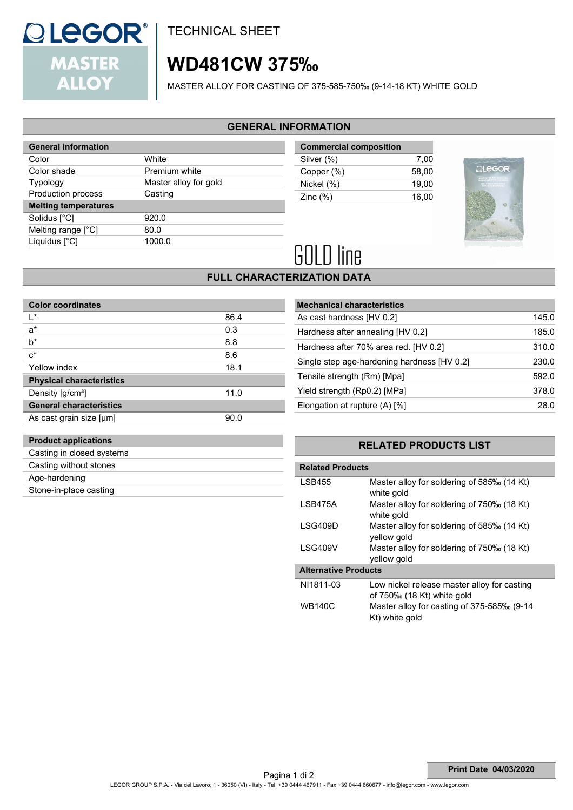

**TECHNICAL SHEET** 

# **WD481CW 375‰**

MASTER ALLOY FOR CASTING OF 375-585-750‰ (9-14-18 KT) WHITE GOLD

### **GENERAL INFORMATION**

| <b>General information</b>  |                       |  |
|-----------------------------|-----------------------|--|
| Color                       | White                 |  |
| Color shade                 | Premium white         |  |
| <b>Typology</b>             | Master alloy for gold |  |
| Production process          | Casting               |  |
| <b>Melting temperatures</b> |                       |  |
|                             |                       |  |
| Solidus [°C]                | 920.0                 |  |
| Melting range [°C]          | 80.0                  |  |
| Liquidus [°C]               | 1000.0                |  |

| <b>Commercial composition</b> |       |
|-------------------------------|-------|
| Silver (%)                    | 7.00  |
| Copper (%)                    | 58.00 |
| Nickel (%)                    | 19.00 |
| Zinc $(\%)$                   | 16.00 |
|                               |       |



# **GOLD line**

# **FULL CHARACTERIZATION DATA**

| 86.4 |
|------|
| 0.3  |
| 8.8  |
| 8.6  |
| 18.1 |
|      |
| 11.0 |
|      |
| 90.0 |
|      |

| <b>Mechanical characteristics</b>           |       |
|---------------------------------------------|-------|
| As cast hardness [HV 0.2]                   | 145.0 |
| Hardness after annealing [HV 0.2]           | 185.0 |
| Hardness after 70% area red. [HV 0.2]       | 310.0 |
| Single step age-hardening hardness [HV 0.2] | 230.0 |
| Tensile strength (Rm) [Mpa]                 | 592.0 |
| Yield strength (Rp0.2) [MPa]                | 378.0 |
| Elongation at rupture (A) [%]               | 28.0  |

# **RELATED PRODUCTS LIST**

| <b>Related Products</b>     |                                                                           |
|-----------------------------|---------------------------------------------------------------------------|
| <b>LSB455</b>               | Master alloy for soldering of 585‰ (14 Kt)<br>white gold                  |
| <b>I SB475A</b>             | Master alloy for soldering of 750‰ (18 Kt)<br>white gold                  |
| LSG409D                     | Master alloy for soldering of 585‰ (14 Kt)<br>yellow gold                 |
| LSG409V                     | Master alloy for soldering of 750‰ (18 Kt)<br>yellow gold                 |
| <b>Alternative Products</b> |                                                                           |
| NI1811-03                   | Low nickel release master alloy for casting<br>of 750‰ (18 Kt) white gold |
| <b>WB140C</b>               | Master alloy for casting of 375-585‰ (9-14<br>Kt) white gold              |

**Product applications** Casting in closed systems Casting without stones Age-hardening

Stone-in-place casting